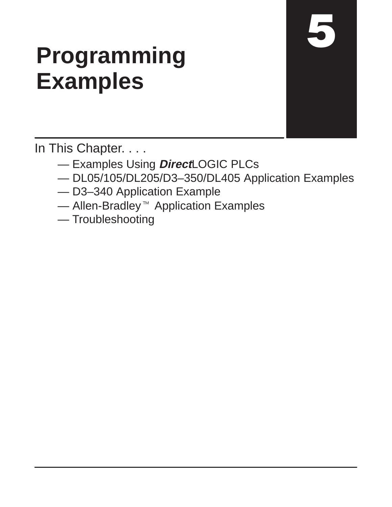# **Programming Examples**

In This Chapter. . . .

- Examples Using **Direct**LOGIC PLCs
- DL05/105/DL205/D3–350/DL405 Application Examples
- D3–340 Application Example
- $-$  Allen-Bradley<sup> $M$ </sup> Application Examples
- Troubleshooting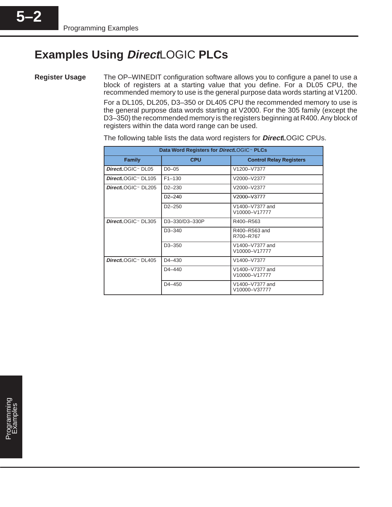### **Examples Using Direct**LOGIC **PLCs**

**Register Usage**

**5–2**

The OP–WINEDIT configuration software allows you to configure a panel to use a block of registers at a starting value that you define. For a DL05 CPU, the recommended memory to use is the general purpose data words starting at V1200. For a DL105, DL205, D3–350 or DL405 CPU the recommended memory to use is the general purpose data words starting at V2000. For the 305 family (except the D3–350) the recommended memory is the registers beginning at R400. Any block of registers within the data word range can be used.

| Data Word Registers for DirectLOGIC <sup>™</sup> PLCs |                     |                                  |
|-------------------------------------------------------|---------------------|----------------------------------|
| <b>Family</b>                                         | <b>CPU</b>          | <b>Control Relay Registers</b>   |
| DirectLOGIC™ DL05                                     | $D0-05$             | V1200-V7377                      |
| DirectLOGIC™ DL105                                    | $F1 - 130$          | V2000-V2377                      |
| DirectLOGIC <sup>™</sup> DL205                        | $D2 - 230$          | V2000-V2377                      |
|                                                       | $D2 - 240$          | V2000-V3777                      |
|                                                       | $D2 - 250$          | V1400-V7377 and<br>V10000-V17777 |
| DirectLOGIC™ DL305                                    | D3-330/D3-330P      | R400-R563                        |
|                                                       | D <sub>3</sub> -340 | R400-R563 and<br>R700-R767       |
|                                                       | D <sub>3</sub> -350 | V1400-V7377 and<br>V10000-V17777 |
| DirectLOGIC <sup>™</sup> DL405                        | $D4 - 430$          | V1400-V7377                      |
|                                                       | D4-440              | V1400-V7377 and<br>V10000-V17777 |
|                                                       | $D4 - 450$          | V1400-V7377 and<br>V10000-V37777 |

The following table lists the data word registers for **Direct**LOGIC CPUs.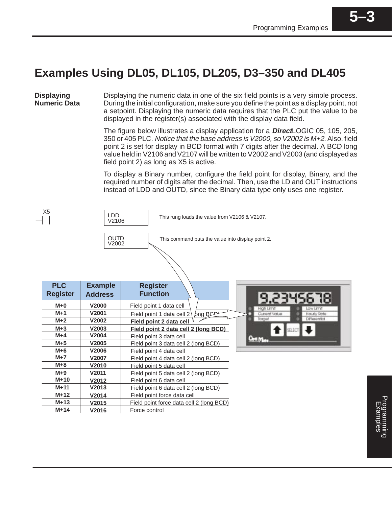**5–3**

### **Examples Using DL05, DL105, DL205, D3–350 and DL405**

**Displaying Numeric Data**

Displaying the numeric data in one of the six field points is a very simple process. During the initial configuration, make sure you define the point as a display point, not a setpoint. Displaying the numeric data requires that the PLC put the value to be displayed in the register(s) associated with the display data field.

The figure below illustrates a display application for a **Direct**LOGIC 05, 105, 205, 350 or 405 PLC. Notice that the base address is V2000, so V2002 is M+2. Also, field point 2 is set for display in BCD format with 7 digits after the decimal. A BCD long value held in V2106 and V2107 will be written to V2002 and V2003 (and displayed as field point 2) as long as X5 is active.

To display a Binary number, configure the field point for display, Binary, and the required number of digits after the decimal. Then, use the LD and OUT instructions instead of LDD and OUTD, since the Binary data type only uses one register.

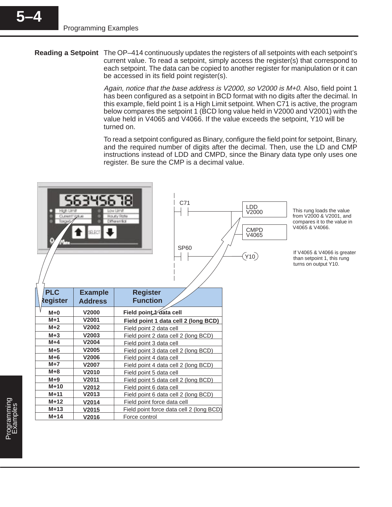**5–4**

**Reading a Setpoint** The OP–414 continuously updates the registers of all setpoints with each setpoint's current value. To read a setpoint, simply access the register(s) that correspond to each setpoint. The data can be copied to another register for manipulation or it can be accessed in its field point register(s).

> Again, notice that the base address is V2000, so V2000 is M+0. Also, field point 1 has been configured as a setpoint in BCD format with no digits after the decimal. In this example, field point 1 is a High Limit setpoint. When C71 is active, the program below compares the setpoint 1 (BCD long value held in V2000 and V2001) with the value held in V4065 and V4066. If the value exceeds the setpoint, Y10 will be turned on.

> To read a setpoint configured as Binary, configure the field point for setpoint, Binary, and the required number of digits after the decimal. Then, use the LD and CMP instructions instead of LDD and CMPD, since the Binary data type only uses one register. Be sure the CMP is a decimal value.

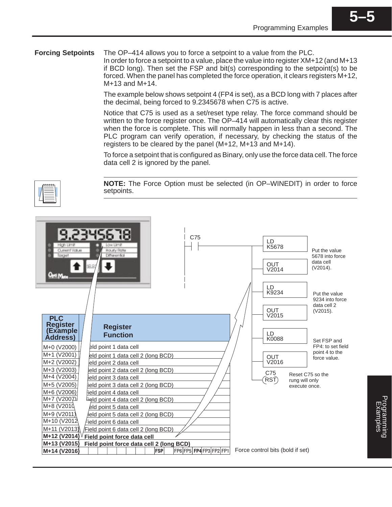**5–5**

#### The OP–414 allows you to force a setpoint to a value from the PLC. **Forcing Setpoints**

In order to force a setpoint to a value, place the value into register XM+12 (and M+13 if BCD long). Then set the FSP and bit(s) corresponding to the setpoint(s) to be forced. When the panel has completed the force operation, it clears registers M+12, M+13 and M+14.

The example below shows setpoint 4 (FP4 is set), as a BCD long with 7 places after the decimal, being forced to 9.2345678 when C75 is active.

Notice that C75 is used as a set/reset type relay. The force command should be written to the force register once. The OP-414 will automatically clear this register when the force is complete. This will normally happen in less than a second. The PLC program can verify operation, if necessary, by checking the status of the registers to be cleared by the panel (M+12, M+13 and M+14).

To force a setpoint that is configured as Binary, only use the force data cell. The force data cell 2 is ignored by the panel.

**NOTE:** The Force Option must be selected (in OP–WINEDIT) in order to force setpoints.

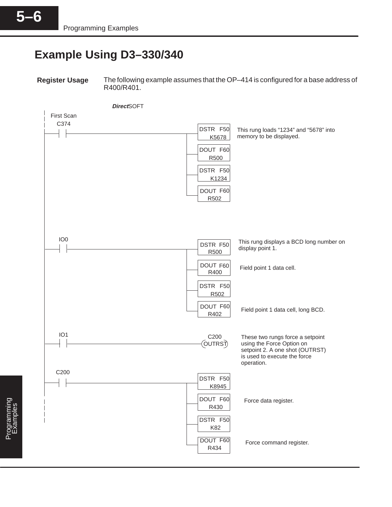### **Example Using D3–330/340**

**Register Usage**

The following example assumes that the OP–414 is configured for a base address of R400/R401.

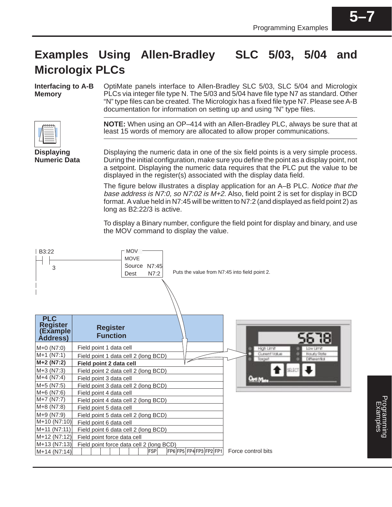### **Examples Using Allen-Bradley SLC 5/03, 5/04 and Micrologix PLCs**

**Interfacing to A-B Memory**

OptiMate panels interface to Allen-Bradley SLC 5/03, SLC 5/04 and Micrologix PLCs via integer file type N. The 5/03 and 5/04 have file type N7 as standard. Other "N" type files can be created. The Micrologix has a fixed file type N7. Please see A-B documentation for information on setting up and using "N" type files.



**Displaying Numeric Data** **NOTE:** When using an OP–414 with an Allen-Bradley PLC, always be sure that at least 15 words of memory are allocated to allow proper communications.

Displaying the numeric data in one of the six field points is a very simple process. During the initial configuration, make sure you define the point as a display point, not a setpoint. Displaying the numeric data requires that the PLC put the value to be displayed in the register(s) associated with the display data field.

The figure below illustrates a display application for an A–B PLC. Notice that the base address is N7:0, so N7:02 is M+2. Also, field point 2 is set for display in BCD format. A value held in N7:45 will be written to N7:2 (and displayed as field point 2) as long as B2:22/3 is active.

To display a Binary number, configure the field point for display and binary, and use the MOV command to display the value.

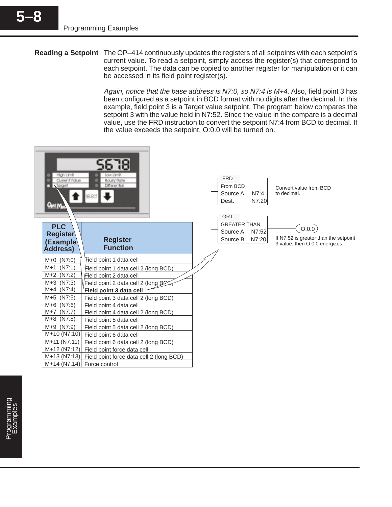**Reading a Setpoint** The OP–414 continuously updates the registers of all setpoints with each setpoint's current value. To read a setpoint, simply access the register(s) that correspond to each setpoint. The data can be copied to another register for manipulation or it can be accessed in its field point register(s).

> Again, notice that the base address is N7:0, so N7:4 is M+4. Also, field point 3 has been configured as a setpoint in BCD format with no digits after the decimal. In this example, field point 3 is a Target value setpoint. The program below compares the setpoint 3 with the value held in N7:52. Since the value in the compare is a decimal value, use the FRD instruction to convert the setpoint N7:4 from BCD to decimal. If the value exceeds the setpoint, O:0.0 will be turned on.

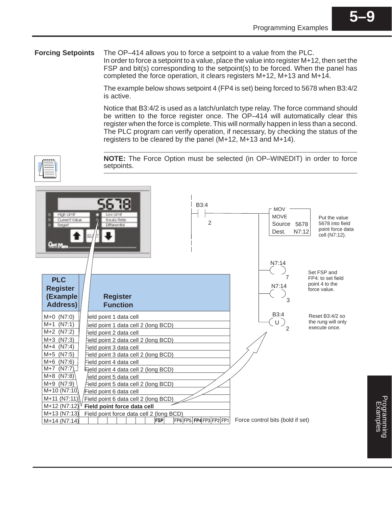The OP–414 allows you to force a setpoint to a value from the PLC. **Forcing Setpoints**

In order to force a setpoint to a value, place the value into register M+12, then set the FSP and bit(s) corresponding to the setpoint(s) to be forced. When the panel has completed the force operation, it clears registers M+12, M+13 and M+14.

The example below shows setpoint 4 (FP4 is set) being forced to 5678 when B3:4/2 is active.

Notice that B3:4/2 is used as a latch/unlatch type relay. The force command should be written to the force register once. The OP–414 will automatically clear this register when the force is complete. This will normally happen in less than a second. The PLC program can verify operation, if necessary, by checking the status of the registers to be cleared by the panel (M+12, M+13 and M+14).

**NOTE:** The Force Option must be selected (in OP–WINEDIT) in order to force setpoints.